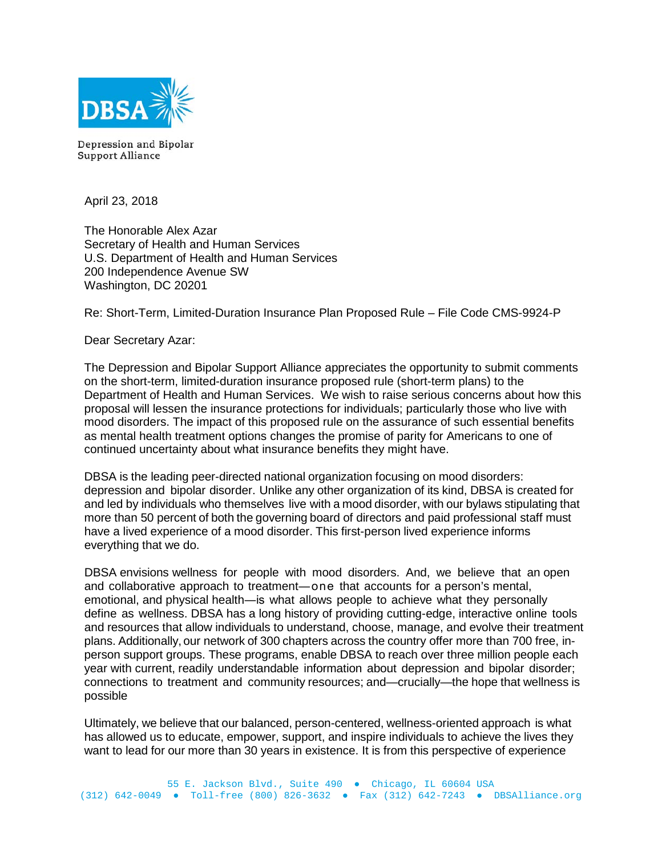

Depression and Bipolar **Support Alliance** 

April 23, 2018

The Honorable Alex Azar Secretary of Health and Human Services U.S. Department of Health and Human Services 200 Independence Avenue SW Washington, DC 20201

Re: Short-Term, Limited-Duration Insurance Plan Proposed Rule – File Code CMS-9924-P

Dear Secretary Azar:

The Depression and Bipolar Support Alliance appreciates the opportunity to submit comments on the short-term, limited-duration insurance proposed rule (short-term plans) to the Department of Health and Human Services. We wish to raise serious concerns about how this proposal will lessen the insurance protections for individuals; particularly those who live with mood disorders. The impact of this proposed rule on the assurance of such essential benefits as mental health treatment options changes the promise of parity for Americans to one of continued uncertainty about what insurance benefits they might have.

DBSA is the leading peer-directed national organization focusing on mood disorders: depression and bipolar disorder. Unlike any other organization of its kind, DBSA is created for and led by individuals who themselves live with a mood disorder, with our bylaws stipulating that more than 50 percent of both the governing board of directors and paid professional staff must have a lived experience of a mood disorder. This first-person lived experience informs everything that we do.

DBSA envisions wellness for people with mood disorders. And, we believe that an open and collaborative approach to treatment―one that accounts for a person's mental, emotional, and physical health―is what allows people to achieve what they personally define as wellness. DBSA has a long history of providing cutting-edge, interactive online tools and resources that allow individuals to understand, choose, manage, and evolve their treatment plans. Additionally, our network of 300 chapters across the country offer more than 700 free, inperson support groups. These programs, enable DBSA to reach over three million people each year with current, readily understandable information about depression and bipolar disorder; connections to treatment and community resources; and—crucially—the hope that wellness is possible

Ultimately, we believe that our balanced, person-centered, wellness-oriented approach is what has allowed us to educate, empower, support, and inspire individuals to achieve the lives they want to lead for our more than 30 years in existence. It is from this perspective of experience